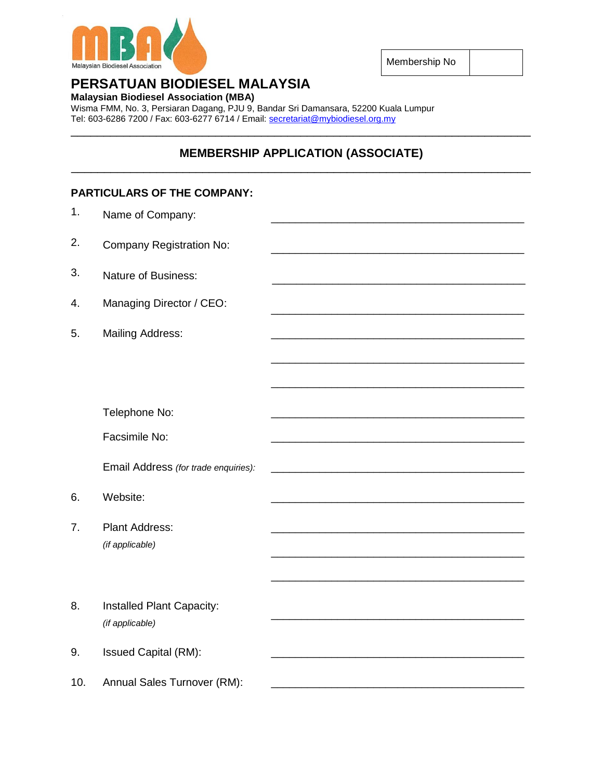

Membership No

# **PERSATUAN BIODIESEL MALAYSIA**

**Malaysian Biodiesel Association (MBA)**

Wisma FMM, No. 3, Persiaran Dagang, PJU 9, Bandar Sri Damansara, 52200 Kuala Lumpur Tel: 603-6286 7200 / Fax: 603-6277 6714 / Email: [secretariat@mybiodiesel.org.my](mailto:secretariat@mybiodiesel.org.my) \_\_\_\_\_\_\_\_\_\_\_\_\_\_\_\_\_\_\_\_\_\_\_\_\_\_\_\_\_\_\_\_\_\_\_\_\_\_\_\_\_\_\_\_\_\_\_\_\_\_\_\_\_\_\_\_\_\_\_\_\_\_\_\_\_\_\_\_\_\_

# **MEMBERSHIP APPLICATION (ASSOCIATE)** \_\_\_\_\_\_\_\_\_\_\_\_\_\_\_\_\_\_\_\_\_\_\_\_\_\_\_\_\_\_\_\_\_\_\_\_\_\_\_\_\_\_\_\_\_\_\_\_\_\_\_\_\_\_\_\_\_\_\_\_\_\_\_\_\_\_\_\_\_\_

# **PARTICULARS OF THE COMPANY:** 1. Name of Company: 2. Company Registration No: 3. Nature of Business: 4. Managing Director / CEO: \_\_\_\_\_\_\_\_\_\_\_\_\_\_\_\_\_\_\_\_\_\_\_\_\_\_\_\_\_\_\_\_\_\_\_\_\_\_\_\_\_\_ 5. Mailing Address: \_\_\_\_\_\_\_\_\_\_\_\_\_\_\_\_\_\_\_\_\_\_\_\_\_\_\_\_\_\_\_\_\_\_\_\_\_\_\_\_\_\_ \_\_\_\_\_\_\_\_\_\_\_\_\_\_\_\_\_\_\_\_\_\_\_\_\_\_\_\_\_\_\_\_\_\_\_\_\_\_\_\_\_\_ Telephone No: Facsimile No: \_\_\_\_\_\_\_\_\_\_\_\_\_\_\_\_\_\_\_\_\_\_\_\_\_\_\_\_\_\_\_\_\_\_\_\_\_\_\_\_\_\_ \_\_\_\_\_\_\_\_\_\_\_\_\_\_\_\_\_\_\_\_\_\_\_\_\_\_\_\_\_\_\_\_\_\_\_\_\_\_\_\_\_\_ Email Address *(for trade enquiries):* 6. Website: \_\_\_\_\_\_\_\_\_\_\_\_\_\_\_\_\_\_\_\_\_\_\_\_\_\_\_\_\_\_\_\_\_\_\_\_\_\_\_\_\_\_ 7. Plant Address: *(if applicable)* \_\_\_\_\_\_\_\_\_\_\_\_\_\_\_\_\_\_\_\_\_\_\_\_\_\_\_\_\_\_\_\_\_\_\_\_\_\_\_\_\_\_ \_\_\_\_\_\_\_\_\_\_\_\_\_\_\_\_\_\_\_\_\_\_\_\_\_\_\_\_\_\_\_\_\_\_\_\_\_\_\_\_\_\_ \_\_\_\_\_\_\_\_\_\_\_\_\_\_\_\_\_\_\_\_\_\_\_\_\_\_\_\_\_\_\_\_\_\_\_\_\_\_\_\_\_\_ 8. Installed Plant Capacity: *(if applicable)* \_\_\_\_\_\_\_\_\_\_\_\_\_\_\_\_\_\_\_\_\_\_\_\_\_\_\_\_\_\_\_\_\_\_\_\_\_\_\_\_\_\_ 9. Issued Capital (RM): 10. Annual Sales Turnover (RM):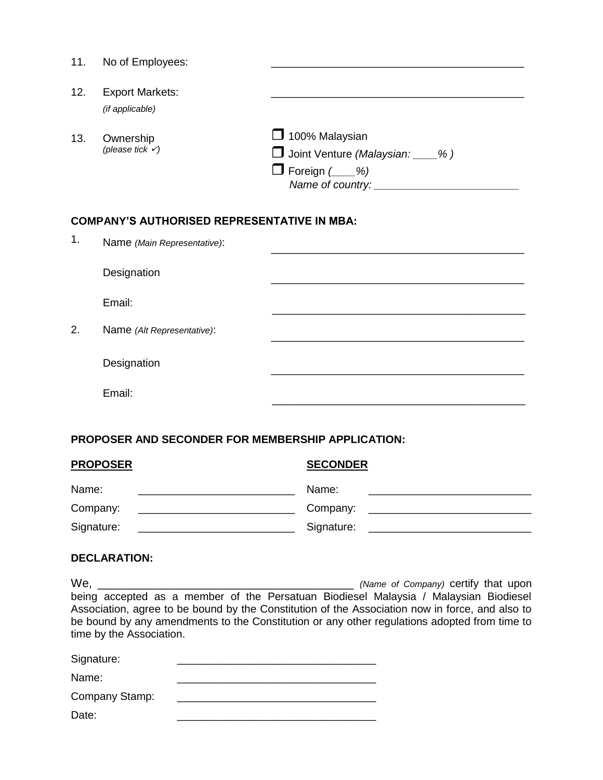| 11.                                                | No of Employees:                          |                                                                                         |  |  |  |
|----------------------------------------------------|-------------------------------------------|-----------------------------------------------------------------------------------------|--|--|--|
| 12.                                                | <b>Export Markets:</b><br>(if applicable) |                                                                                         |  |  |  |
| 13.                                                | Ownership<br>(please tick $\checkmark$ )  | $\Box$ 100% Malaysian<br>Joint Venture (Malaysian: ___%)<br>$\Box$ Foreign ( $\_\_\%$ ) |  |  |  |
| <b>COMPANY'S AUTHORISED REPRESENTATIVE IN MBA:</b> |                                           |                                                                                         |  |  |  |
| 1.                                                 | Name (Main Representative):               |                                                                                         |  |  |  |
|                                                    | Designation                               |                                                                                         |  |  |  |
|                                                    | Email:                                    |                                                                                         |  |  |  |
| 2.                                                 | Name (Alt Representative):                |                                                                                         |  |  |  |
|                                                    | Designation                               |                                                                                         |  |  |  |
|                                                    | Email:                                    |                                                                                         |  |  |  |
|                                                    |                                           |                                                                                         |  |  |  |

## **PROPOSER AND SECONDER FOR MEMBERSHIP APPLICATION:**

| <b>PROPOSER</b>                                                                                                                       | <b>SECONDER</b> |  |  |
|---------------------------------------------------------------------------------------------------------------------------------------|-----------------|--|--|
| Name:                                                                                                                                 | Name:           |  |  |
| Company:                                                                                                                              | Company:        |  |  |
| Signature:<br><u> 1980 - Jan Barbarat, manazarta da kasas da shekara 1980 - Ang Panganan ang Pangangang Pangangang Pangangang Pan</u> | Signature:      |  |  |

### **DECLARATION:**

We, \_\_\_\_\_\_\_\_\_\_\_\_\_\_\_\_\_\_\_\_\_\_\_\_\_\_\_\_\_\_\_\_\_\_\_\_\_\_\_ *(Name of Company)* certify that upon being accepted as a member of the Persatuan Biodiesel Malaysia / Malaysian Biodiesel Association, agree to be bound by the Constitution of the Association now in force, and also to be bound by any amendments to the Constitution or any other regulations adopted from time to time by the Association.

| Signature:     |  |
|----------------|--|
| Name:          |  |
| Company Stamp: |  |
| Date:          |  |